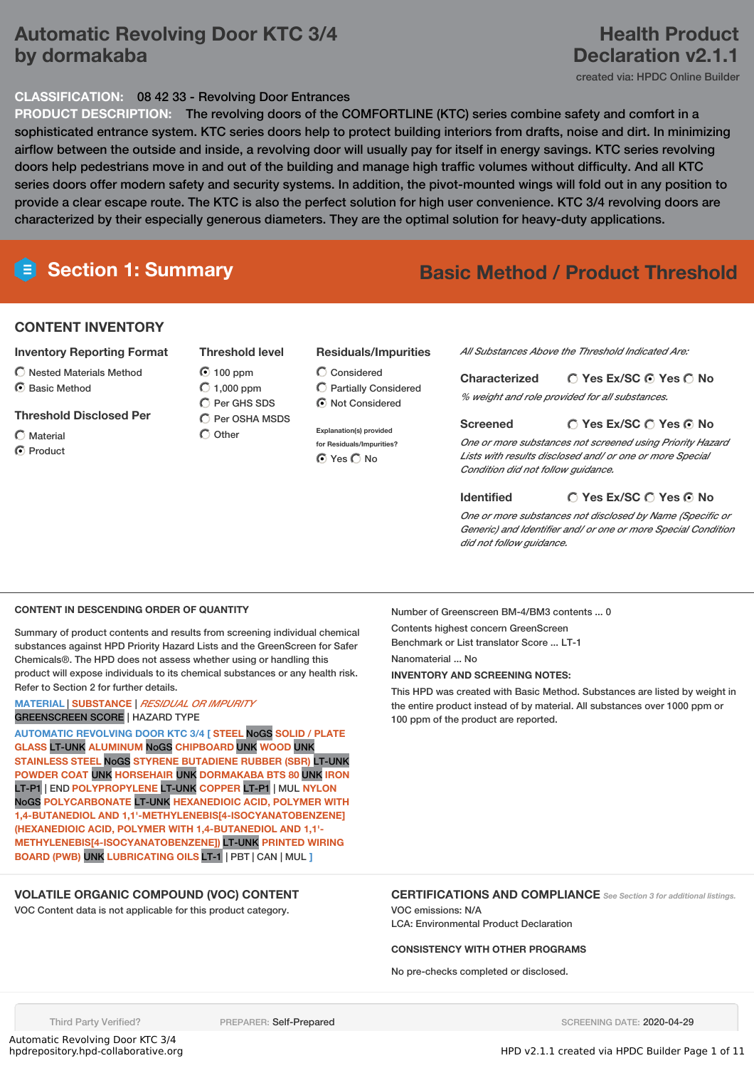### **Automatic Revolving Door KTC 3/4 by dormakaba**

### **Health Product Declaration v2.1.1**

created via: HPDC Online Builder

#### **CLASSIFICATION:** 08 42 33 - Revolving Door Entrances

**PRODUCT DESCRIPTION:** The revolving doors of the COMFORTLINE (KTC) series combine safety and comfort in a sophisticated entrance system. KTC series doors help to protect building interiors from drafts, noise and dirt. In minimizing airflow between the outside and inside, a revolving door will usually pay for itself in energy savings. KTC series revolving doors help pedestrians move in and out of the building and manage high traffic volumes without difficulty. And all KTC series doors offer modern safety and security systems. In addition, the pivot-mounted wings will fold out in any position to provide a clear escape route. The KTC is also the perfect solution for high user convenience. KTC 3/4 revolving doors are characterized by their especially generous diameters. They are the optimal solution for heavy-duty applications.

## **Section 1: Summary Basic Method / Product Threshold**

#### **CONTENT INVENTORY**

- **Inventory Reporting Format**
- Nested Materials Method
- ◯ Basic Method
- **Threshold Disclosed Per**
- $\bigcap$  Material C Product
- **Threshold level**
- $O$  100 ppm  $\bigcirc$  1,000 ppm C Per GHS SDS C Per OSHA MSDS
- $\bigcirc$  Other

#### **Residuals/Impurities**

Considered Partially Considered  $\bigcirc$  Not Considered

#### **Explanation(s) provided for Residuals/Impurities?** ⊙ Yes O No

*All Substances Above the Threshold Indicated Are:*

**Yes Ex/SC Yes No Characterized** *% weight and role provided for all substances.*

#### **Yes Ex/SC Yes No Screened**

*One or more substances not screened using Priority Hazard Lists with results disclosed and/ or one or more Special Condition did not follow guidance.*

#### **Identified**

**Yes Ex/SC Yes No**

*One or more substances not disclosed by Name (Specific or Generic) and Identifier and/ or one or more Special Condition did not follow guidance.*

#### **CONTENT IN DESCENDING ORDER OF QUANTITY**

Summary of product contents and results from screening individual chemical substances against HPD Priority Hazard Lists and the GreenScreen for Safer Chemicals®. The HPD does not assess whether using or handling this product will expose individuals to its chemical substances or any health risk. Refer to Section 2 for further details.

#### **MATERIAL** | **SUBSTANCE** | *RESIDUAL OR IMPURITY* GREENSCREEN SCORE | HAZARD TYPE

**AUTOMATIC REVOLVING DOOR KTC 3/4 [ STEEL** NoGS **SOLID / PLATE GLASS** LT-UNK **ALUMINUM** NoGS **CHIPBOARD** UNK **WOOD** UNK **STAINLESS STEEL** NoGS **STYRENE BUTADIENE RUBBER (SBR)** LT-UNK **POWDER COAT** UNK **HORSEHAIR** UNK **DORMAKABA BTS 80** UNK **IRON** LT-P1 | END **POLYPROPYLENE** LT-UNK **COPPER** LT-P1 | MUL **NYLON** NoGS **POLYCARBONATE** LT-UNK **HEXANEDIOIC ACID, POLYMER WITH 1,4-BUTANEDIOL AND 1,1'-METHYLENEBIS[4-ISOCYANATOBENZENE] (HEXANEDIOIC ACID, POLYMER WITH 1,4-BUTANEDIOL AND 1,1'- METHYLENEBIS[4-ISOCYANATOBENZENE])** LT-UNK **PRINTED WIRING BOARD (PWB)** UNK **LUBRICATING OILS** LT-1 | PBT | CAN | MUL **]**

#### **VOLATILE ORGANIC COMPOUND (VOC) CONTENT**

VOC Content data is not applicable for this product category.

Number of Greenscreen BM-4/BM3 contents ... 0

Contents highest concern GreenScreen Benchmark or List translator Score ... LT-1

Nanomaterial ... No

#### **INVENTORY AND SCREENING NOTES:**

This HPD was created with Basic Method. Substances are listed by weight in the entire product instead of by material. All substances over 1000 ppm or 100 ppm of the product are reported.

#### **CERTIFICATIONS AND COMPLIANCE** *See Section <sup>3</sup> for additional listings.*

VOC emissions: N/A LCA: Environmental Product Declaration

#### **CONSISTENCY WITH OTHER PROGRAMS**

No pre-checks completed or disclosed.

Automatic Revolving Door KTC 3/4

Third Party Verified? **PREPARER: Self-Prepared** SCREENING DATE: 2020-04-29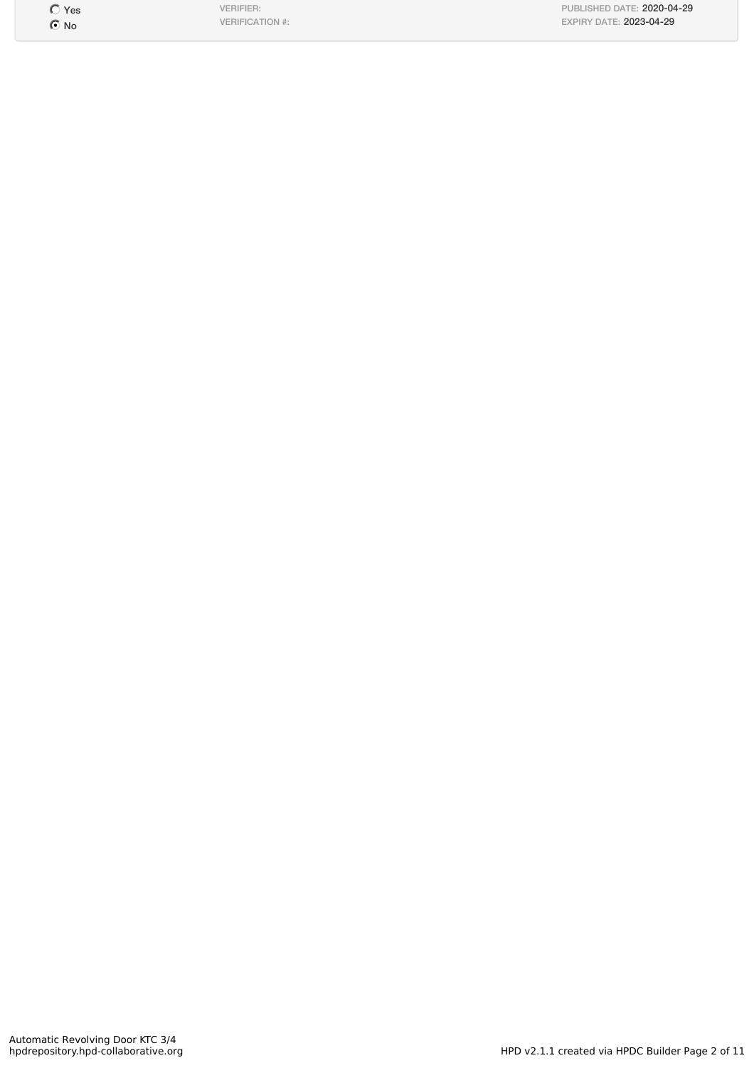$\overline{C}$  Yes  $\odot$  No

VERIFIER: VERIFICATION #: PUBLISHED DATE: 2020-04-29 EXPIRY DATE: 2023-04-29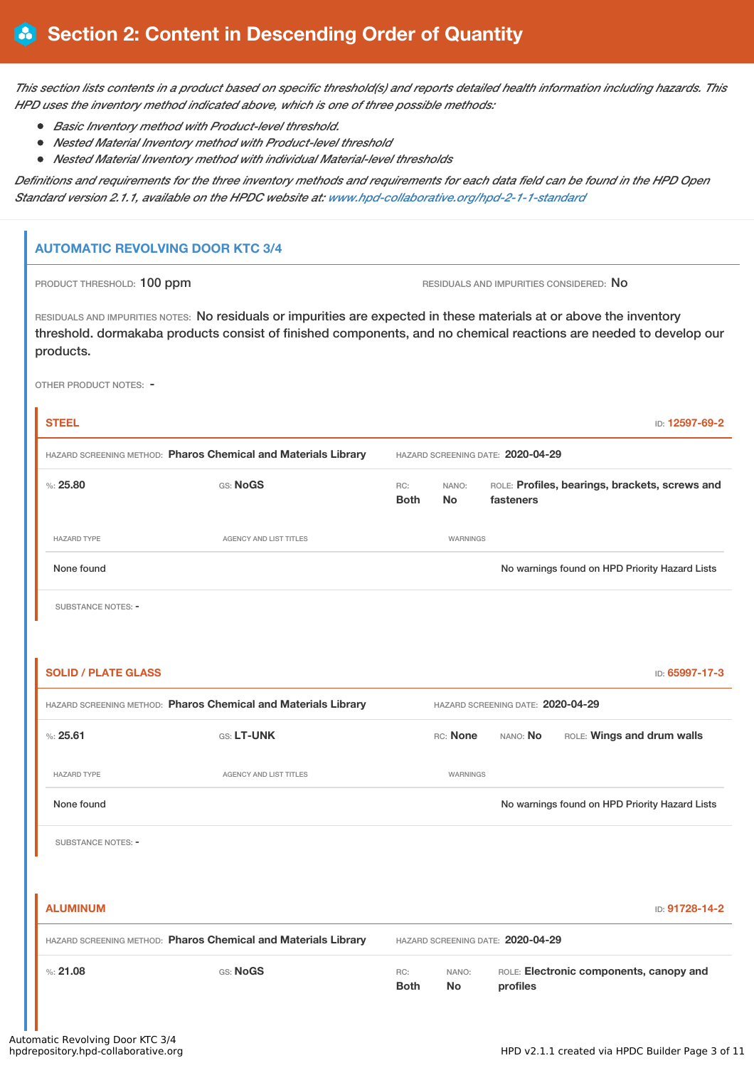This section lists contents in a product based on specific threshold(s) and reports detailed health information including hazards. This *HPD uses the inventory method indicated above, which is one of three possible methods:*

- *Basic Inventory method with Product-level threshold.*
- *Nested Material Inventory method with Product-level threshold*
- *Nested Material Inventory method with individual Material-level thresholds*

Definitions and requirements for the three inventory methods and requirements for each data field can be found in the HPD Open *Standard version 2.1.1, available on the HPDC website at: [www.hpd-collaborative.org/hpd-2-1-1-standard](https://www.hpd-collaborative.org/hpd-2-1-1-standard)*

### **AUTOMATIC REVOLVING DOOR KTC 3/4**

| PRODUCT THRESHOLD: 100 ppm |  |  |
|----------------------------|--|--|
|----------------------------|--|--|

RESIDUALS AND IMPURITIES CONSIDERED: NO

RESIDUALS AND IMPURITIES NOTES: No residuals or impurities are expected in these materials at or above the inventory threshold. dormakaba products consist of finished components, and no chemical reactions are needed to develop our products.

OTHER PRODUCT NOTES: -

| <b>STEEL</b>               |                                                                |                                   |                    | ID: 12597-69-2                                              |  |  |
|----------------------------|----------------------------------------------------------------|-----------------------------------|--------------------|-------------------------------------------------------------|--|--|
|                            | HAZARD SCREENING METHOD: Pharos Chemical and Materials Library | HAZARD SCREENING DATE: 2020-04-29 |                    |                                                             |  |  |
| %25.80                     | GS: NoGS                                                       | RC:<br><b>Both</b>                | NANO:<br><b>No</b> | ROLE: Profiles, bearings, brackets, screws and<br>fasteners |  |  |
| <b>HAZARD TYPE</b>         | AGENCY AND LIST TITLES                                         |                                   | WARNINGS           |                                                             |  |  |
| None found                 |                                                                |                                   |                    | No warnings found on HPD Priority Hazard Lists              |  |  |
| SUBSTANCE NOTES: -         |                                                                |                                   |                    |                                                             |  |  |
|                            |                                                                |                                   |                    |                                                             |  |  |
| <b>SOLID / PLATE GLASS</b> |                                                                |                                   |                    | ID: 65997-17-3                                              |  |  |
|                            | HAZARD SCREENING METHOD: Pharos Chemical and Materials Library |                                   |                    | HAZARD SCREENING DATE: 2020-04-29                           |  |  |
| %25.61                     | GS: LT-UNK                                                     |                                   | RC: None           | ROLE: Wings and drum walls<br>NANO: No                      |  |  |
| <b>HAZARD TYPE</b>         | <b>AGENCY AND LIST TITLES</b>                                  |                                   | WARNINGS           |                                                             |  |  |
| None found                 |                                                                |                                   |                    | No warnings found on HPD Priority Hazard Lists              |  |  |
| SUBSTANCE NOTES: -         |                                                                |                                   |                    |                                                             |  |  |
|                            |                                                                |                                   |                    |                                                             |  |  |
|                            |                                                                |                                   |                    |                                                             |  |  |
| <b>ALUMINUM</b>            |                                                                |                                   |                    | ID: 91728-14-2                                              |  |  |
|                            | HAZARD SCREENING METHOD: Pharos Chemical and Materials Library |                                   |                    | HAZARD SCREENING DATE: 2020-04-29                           |  |  |
| % 21.08                    | GS: NoGS                                                       | RC:<br><b>Both</b>                | NANO:<br><b>No</b> | ROLE: Electronic components, canopy and<br>profiles         |  |  |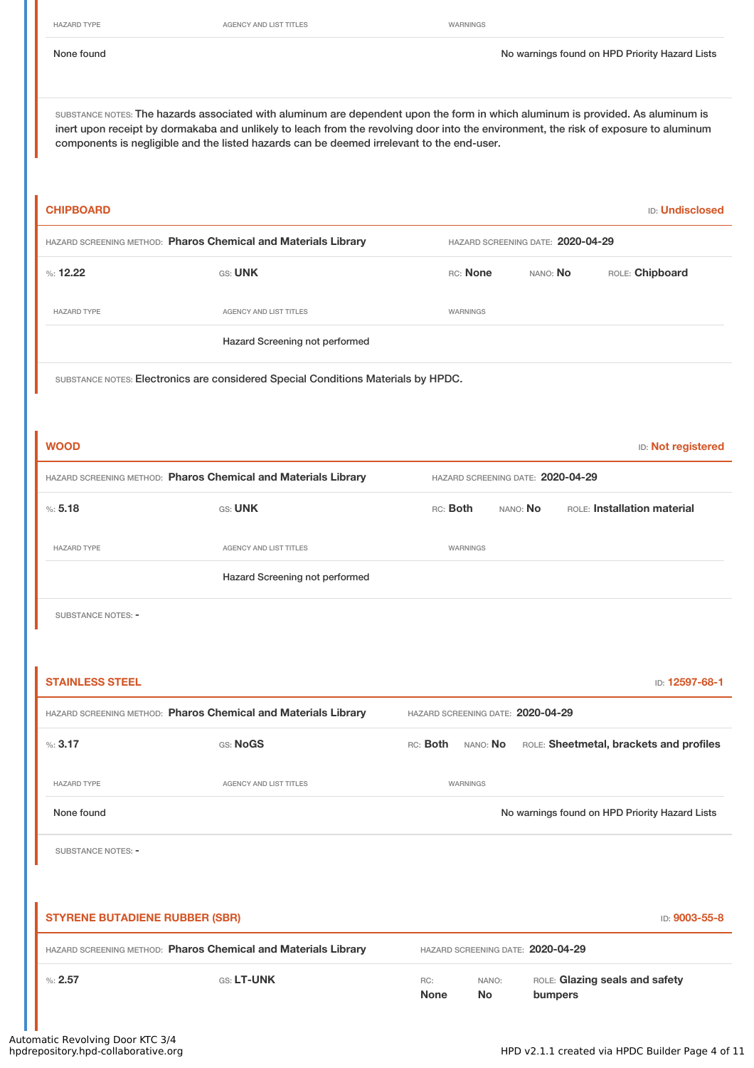HAZARD TYPE **AGENCY AND LIST TITLES AGENCY AND LIST TITLES WARNINGS** 

None found Nowarnings found on HPD Priority Hazard Lists

SUBSTANCE NOTES: The hazards associated with aluminum are dependent upon the form in which aluminum is provided. As aluminum is inert upon receipt by dormakaba and unlikely to leach from the revolving door into the environment, the risk of exposure to aluminum components is negligible and the listed hazards can be deemed irrelevant to the end-user.

| <b>CHIPBOARD</b>                                               |                                                                                   |                                   |          |                                   |                             | <b>ID: Undisclosed</b>                         |
|----------------------------------------------------------------|-----------------------------------------------------------------------------------|-----------------------------------|----------|-----------------------------------|-----------------------------|------------------------------------------------|
| HAZARD SCREENING METHOD: Pharos Chemical and Materials Library |                                                                                   |                                   |          | HAZARD SCREENING DATE: 2020-04-29 |                             |                                                |
| %: 12.22                                                       | GS: UNK                                                                           | RC: None                          |          | NANO: No                          | ROLE: Chipboard             |                                                |
| <b>HAZARD TYPE</b>                                             | <b>AGENCY AND LIST TITLES</b>                                                     | WARNINGS                          |          |                                   |                             |                                                |
|                                                                | Hazard Screening not performed                                                    |                                   |          |                                   |                             |                                                |
|                                                                | SUBSTANCE NOTES: Electronics are considered Special Conditions Materials by HPDC. |                                   |          |                                   |                             |                                                |
|                                                                |                                                                                   |                                   |          |                                   |                             |                                                |
| <b>WOOD</b>                                                    |                                                                                   |                                   |          |                                   |                             | ID: Not registered                             |
|                                                                | HAZARD SCREENING METHOD: Pharos Chemical and Materials Library                    |                                   |          | HAZARD SCREENING DATE: 2020-04-29 |                             |                                                |
| %5.18                                                          | GS: UNK                                                                           | RC: Both                          |          | NANO: No                          | ROLE: Installation material |                                                |
| <b>HAZARD TYPE</b>                                             | AGENCY AND LIST TITLES                                                            | <b>WARNINGS</b>                   |          |                                   |                             |                                                |
|                                                                | Hazard Screening not performed                                                    |                                   |          |                                   |                             |                                                |
| <b>SUBSTANCE NOTES: -</b>                                      |                                                                                   |                                   |          |                                   |                             |                                                |
|                                                                |                                                                                   |                                   |          |                                   |                             |                                                |
| <b>STAINLESS STEEL</b>                                         |                                                                                   |                                   |          |                                   |                             | ID: 12597-68-1                                 |
|                                                                | HAZARD SCREENING METHOD: Pharos Chemical and Materials Library                    | HAZARD SCREENING DATE: 2020-04-29 |          |                                   |                             |                                                |
| %3.17                                                          | GS: NoGS                                                                          | RC: Both                          | NANO: No |                                   |                             | ROLE: Sheetmetal, brackets and profiles        |
| <b>HAZARD TYPE</b>                                             | AGENCY AND LIST TITLES                                                            | WARNINGS                          |          |                                   |                             |                                                |
| None found                                                     |                                                                                   |                                   |          |                                   |                             | No warnings found on HPD Priority Hazard Lists |
| <b>SUBSTANCE NOTES: -</b>                                      |                                                                                   |                                   |          |                                   |                             |                                                |
|                                                                |                                                                                   |                                   |          |                                   |                             |                                                |
| <b>STYRENE BUTADIENE RUBBER (SBR)</b>                          |                                                                                   |                                   |          |                                   |                             | ID: 9003-55-8                                  |

| HAZARD SCREENING METHOD: Pharos Chemical and Materials Library |                   |                    |                    | HAZARD SCREENING DATE: 2020-04-29         |
|----------------------------------------------------------------|-------------------|--------------------|--------------------|-------------------------------------------|
| $\%: 2.57$                                                     | <b>GS: LT-UNK</b> | RC:<br><b>None</b> | NANO:<br><b>No</b> | ROLE: Glazing seals and safety<br>bumpers |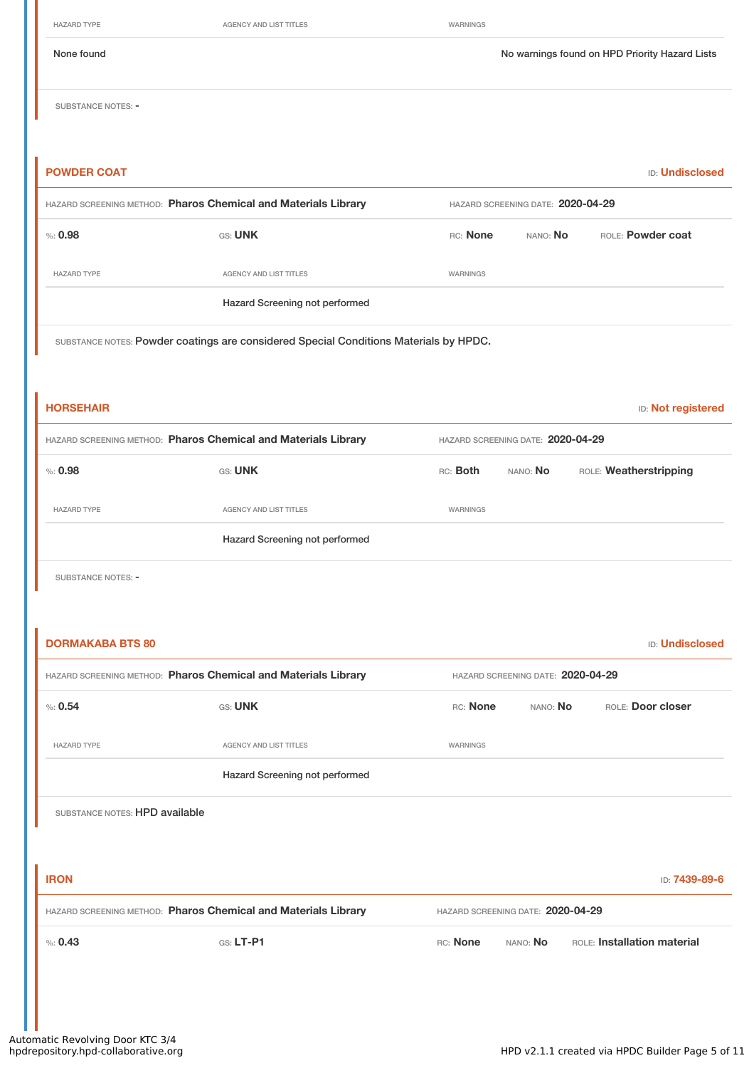HAZARD TYPE **AGENCY AND LIST TITLES** WARNINGS

| None found | No warnings found on HPD Priority Hazard Lists |
|------------|------------------------------------------------|

SUBSTANCE NOTES: -

| <b>POWDER COAT</b>                                             |                                                                                       |                                   |                                   | <b>ID: Undisclosed</b>      |
|----------------------------------------------------------------|---------------------------------------------------------------------------------------|-----------------------------------|-----------------------------------|-----------------------------|
| HAZARD SCREENING METHOD: Pharos Chemical and Materials Library |                                                                                       | HAZARD SCREENING DATE: 2020-04-29 |                                   |                             |
| % : 0.98                                                       | GS: UNK                                                                               | RC: None                          | ROLE: Powder coat                 |                             |
| <b>HAZARD TYPE</b>                                             | AGENCY AND LIST TITLES                                                                | WARNINGS                          |                                   |                             |
|                                                                | Hazard Screening not performed                                                        |                                   |                                   |                             |
|                                                                | SUBSTANCE NOTES: Powder coatings are considered Special Conditions Materials by HPDC. |                                   |                                   |                             |
|                                                                |                                                                                       |                                   |                                   |                             |
|                                                                |                                                                                       |                                   |                                   |                             |
| <b>HORSEHAIR</b>                                               |                                                                                       |                                   |                                   | ID: Not registered          |
| HAZARD SCREENING METHOD: Pharos Chemical and Materials Library |                                                                                       |                                   | HAZARD SCREENING DATE: 2020-04-29 |                             |
| % : 0.98                                                       | GS: UNK                                                                               | RC: Both                          | NANO: No                          | ROLE: Weatherstripping      |
| <b>HAZARD TYPE</b>                                             | AGENCY AND LIST TITLES                                                                | WARNINGS                          |                                   |                             |
|                                                                | Hazard Screening not performed                                                        |                                   |                                   |                             |
| SUBSTANCE NOTES: -                                             |                                                                                       |                                   |                                   |                             |
|                                                                |                                                                                       |                                   |                                   |                             |
| <b>DORMAKABA BTS 80</b>                                        |                                                                                       |                                   |                                   | <b>ID: Undisclosed</b>      |
|                                                                |                                                                                       |                                   |                                   |                             |
| HAZARD SCREENING METHOD: Pharos Chemical and Materials Library |                                                                                       |                                   | HAZARD SCREENING DATE: 2020-04-29 |                             |
| % 0.54                                                         | GS: UNK                                                                               | RC: None                          | NANO: No                          | ROLE: Door closer           |
| <b>HAZARD TYPE</b>                                             | AGENCY AND LIST TITLES                                                                | WARNINGS                          |                                   |                             |
|                                                                | Hazard Screening not performed                                                        |                                   |                                   |                             |
| SUBSTANCE NOTES: HPD available                                 |                                                                                       |                                   |                                   |                             |
|                                                                |                                                                                       |                                   |                                   |                             |
| <b>IRON</b>                                                    |                                                                                       |                                   |                                   | ID: 7439-89-6               |
|                                                                |                                                                                       |                                   |                                   |                             |
| HAZARD SCREENING METHOD: Pharos Chemical and Materials Library |                                                                                       |                                   | HAZARD SCREENING DATE: 2020-04-29 |                             |
| % 0.43                                                         | GS: LT-P1                                                                             | RC: None                          | NANO: No                          | ROLE: Installation material |
|                                                                |                                                                                       |                                   |                                   |                             |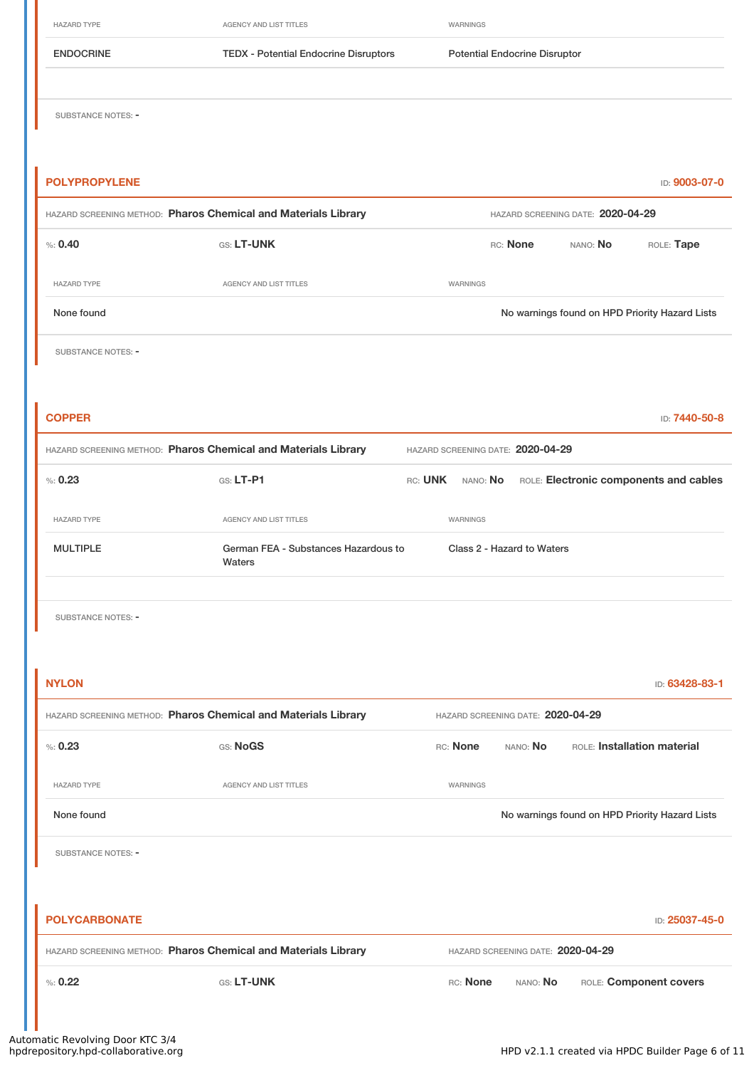| <b>HAZARD TYPE</b>        | AGENCY AND LIST TITLES                                         | WARNINGS                                                             |
|---------------------------|----------------------------------------------------------------|----------------------------------------------------------------------|
| <b>ENDOCRINE</b>          | <b>TEDX - Potential Endocrine Disruptors</b>                   | <b>Potential Endocrine Disruptor</b>                                 |
| <b>SUBSTANCE NOTES: -</b> |                                                                |                                                                      |
|                           |                                                                |                                                                      |
| <b>POLYPROPYLENE</b>      |                                                                | ID: 9003-07-0                                                        |
|                           | HAZARD SCREENING METHOD: Pharos Chemical and Materials Library | HAZARD SCREENING DATE: 2020-04-29                                    |
| % 0.40                    | GS: LT-UNK                                                     | ROLE: Tape<br>RC: None<br>NANO: No                                   |
| <b>HAZARD TYPE</b>        | AGENCY AND LIST TITLES                                         | WARNINGS                                                             |
| None found                |                                                                | No warnings found on HPD Priority Hazard Lists                       |
| <b>SUBSTANCE NOTES: -</b> |                                                                |                                                                      |
|                           |                                                                |                                                                      |
| <b>COPPER</b>             |                                                                | ID: 7440-50-8                                                        |
|                           | HAZARD SCREENING METHOD: Pharos Chemical and Materials Library | HAZARD SCREENING DATE: 2020-04-29                                    |
| %: 0.23                   | GS: LT-P1                                                      | RC: <b>UNK</b><br>NANO: No<br>ROLE: Electronic components and cables |
| <b>HAZARD TYPE</b>        | AGENCY AND LIST TITLES                                         | WARNINGS                                                             |
| <b>MULTIPLE</b>           | German FEA - Substances Hazardous to<br>Waters                 | Class 2 - Hazard to Waters                                           |
|                           |                                                                |                                                                      |
| <b>SUBSTANCE NOTES: -</b> |                                                                |                                                                      |
| <b>NYLON</b>              |                                                                | ID: 63428-83-1                                                       |
|                           | HAZARD SCREENING METHOD: Pharos Chemical and Materials Library | HAZARD SCREENING DATE: 2020-04-29                                    |
| %: 0.23                   | GS: NoGS                                                       | RC: None<br>ROLE: Installation material<br>NANO: No                  |
| <b>HAZARD TYPE</b>        | AGENCY AND LIST TITLES                                         | WARNINGS                                                             |
| None found                |                                                                | No warnings found on HPD Priority Hazard Lists                       |
| <b>SUBSTANCE NOTES: -</b> |                                                                |                                                                      |
|                           |                                                                |                                                                      |
| <b>POLYCARBONATE</b>      |                                                                | ID: 25037-45-0                                                       |
|                           | HAZARD SCREENING METHOD: Pharos Chemical and Materials Library | HAZARD SCREENING DATE: 2020-04-29                                    |
| %: 0.22                   | GS: LT-UNK                                                     | RC: None<br>NANO: No<br>ROLE: Component covers                       |
|                           |                                                                |                                                                      |

I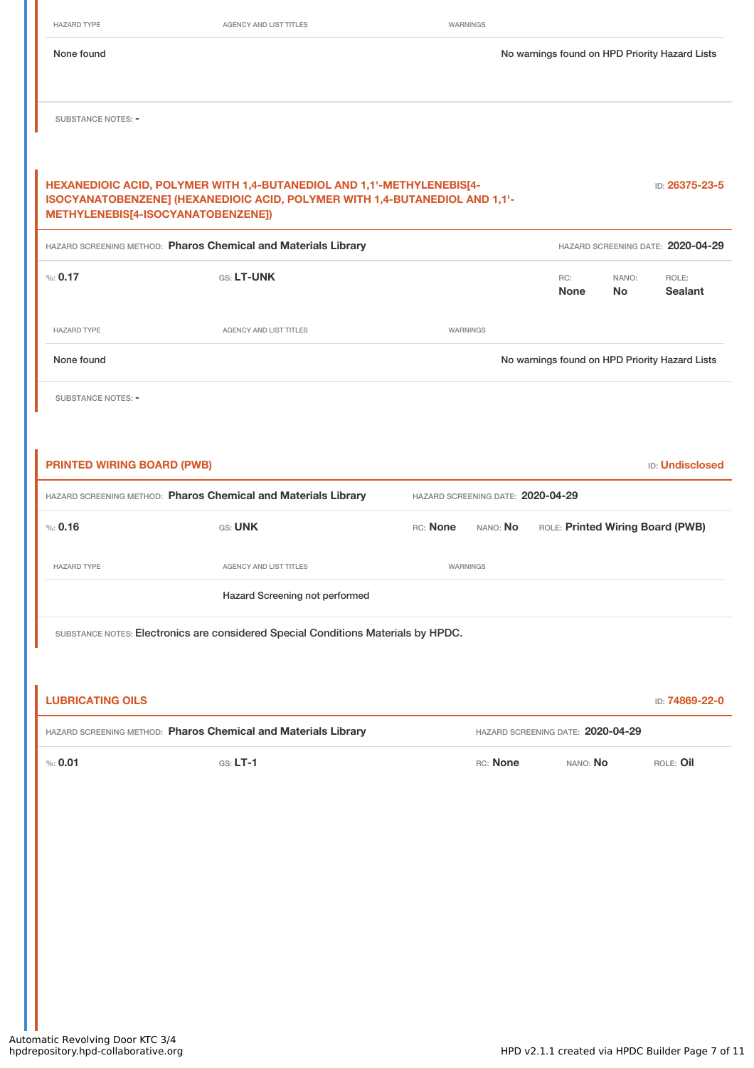| <b>HAZARD TYPE</b>                 | <b>AGENCY AND LIST TITLES</b>                                                                                                                         | WARNINGS |                                   |                                                |              |                                   |
|------------------------------------|-------------------------------------------------------------------------------------------------------------------------------------------------------|----------|-----------------------------------|------------------------------------------------|--------------|-----------------------------------|
| None found                         |                                                                                                                                                       |          |                                   | No warnings found on HPD Priority Hazard Lists |              |                                   |
| <b>SUBSTANCE NOTES: -</b>          |                                                                                                                                                       |          |                                   |                                                |              |                                   |
|                                    |                                                                                                                                                       |          |                                   |                                                |              |                                   |
| METHYLENEBIS[4-ISOCYANATOBENZENE]) | HEXANEDIOIC ACID, POLYMER WITH 1,4-BUTANEDIOL AND 1,1'-METHYLENEBIS[4-<br>ISOCYANATOBENZENE] (HEXANEDIOIC ACID, POLYMER WITH 1,4-BUTANEDIOL AND 1,1'- |          |                                   |                                                |              | ID: 26375-23-5                    |
|                                    | HAZARD SCREENING METHOD: Pharos Chemical and Materials Library                                                                                        |          |                                   |                                                |              | HAZARD SCREENING DATE: 2020-04-29 |
| % 0.17                             | GS: LT-UNK                                                                                                                                            |          |                                   | RC:<br><b>None</b>                             | NANO:<br>No. | ROLE:<br><b>Sealant</b>           |
| <b>HAZARD TYPE</b>                 | AGENCY AND LIST TITLES                                                                                                                                | WARNINGS |                                   |                                                |              |                                   |
| None found                         |                                                                                                                                                       |          |                                   | No warnings found on HPD Priority Hazard Lists |              |                                   |
| SUBSTANCE NOTES: -                 |                                                                                                                                                       |          |                                   |                                                |              |                                   |
|                                    |                                                                                                                                                       |          |                                   |                                                |              |                                   |
| <b>PRINTED WIRING BOARD (PWB)</b>  |                                                                                                                                                       |          |                                   |                                                |              | <b>ID: Undisclosed</b>            |
|                                    | HAZARD SCREENING METHOD: Pharos Chemical and Materials Library                                                                                        |          | HAZARD SCREENING DATE: 2020-04-29 |                                                |              |                                   |
| % 0.16                             | GS: UNK                                                                                                                                               | RC: None | NANO: No                          | ROLE: Printed Wiring Board (PWB)               |              |                                   |
| <b>HAZARD TYPE</b>                 | <b>AGENCY AND LIST TITLES</b>                                                                                                                         | WARNINGS |                                   |                                                |              |                                   |
|                                    | Hazard Screening not performed                                                                                                                        |          |                                   |                                                |              |                                   |
|                                    | SUBSTANCE NOTES: Electronics are considered Special Conditions Materials by HPDC.                                                                     |          |                                   |                                                |              |                                   |
|                                    |                                                                                                                                                       |          |                                   |                                                |              |                                   |
| <b>LUBRICATING OILS</b>            |                                                                                                                                                       |          |                                   |                                                |              | ID: 74869-22-0                    |
|                                    | HAZARD SCREENING METHOD: Pharos Chemical and Materials Library                                                                                        |          |                                   | HAZARD SCREENING DATE: 2020-04-29              |              |                                   |
| % 0.01                             | $GS: LT-1$                                                                                                                                            |          | RC: None                          | NANO: No                                       |              | ROLE: Oil                         |
|                                    |                                                                                                                                                       |          |                                   |                                                |              |                                   |
|                                    |                                                                                                                                                       |          |                                   |                                                |              |                                   |
|                                    |                                                                                                                                                       |          |                                   |                                                |              |                                   |
|                                    |                                                                                                                                                       |          |                                   |                                                |              |                                   |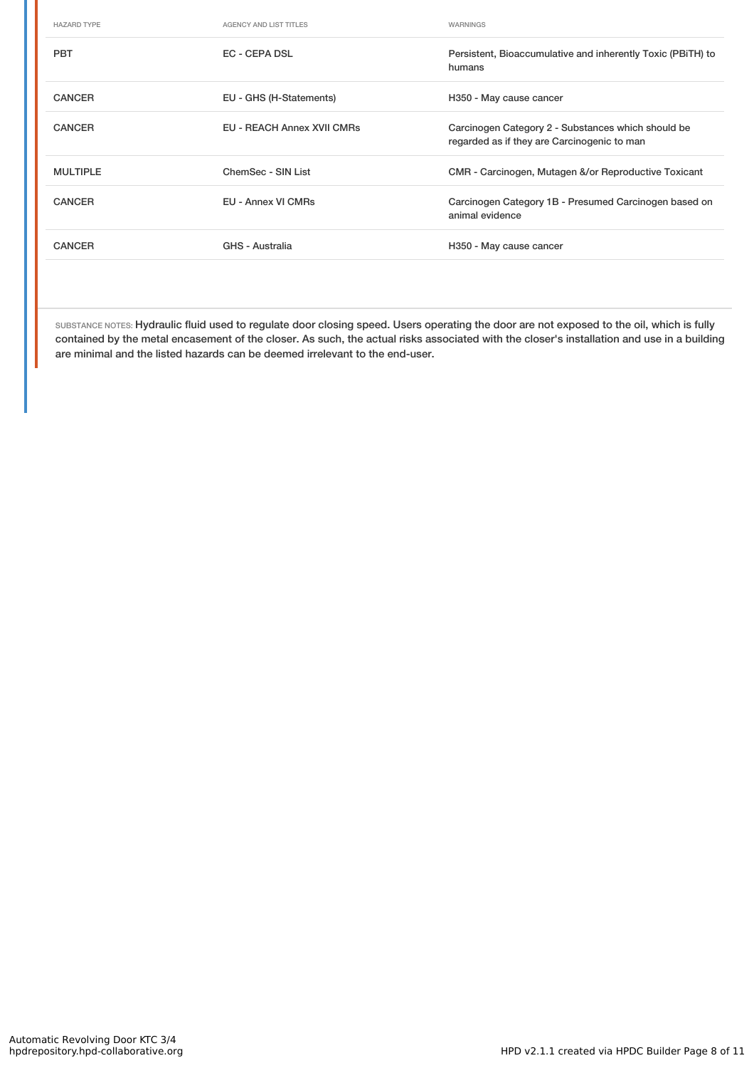| <b>HAZARD TYPE</b> | <b>AGENCY AND LIST TITLES</b>     | WARNINGS                                                                                          |
|--------------------|-----------------------------------|---------------------------------------------------------------------------------------------------|
| <b>PBT</b>         | EC - CEPA DSL                     | Persistent, Bioaccumulative and inherently Toxic (PBITH) to<br>humans                             |
| <b>CANCER</b>      | EU - GHS (H-Statements)           | H350 - May cause cancer                                                                           |
| <b>CANCER</b>      | <b>EU - REACH Annex XVII CMRs</b> | Carcinogen Category 2 - Substances which should be<br>regarded as if they are Carcinogenic to man |
| <b>MULTIPLE</b>    | ChemSec - SIN List                | CMR - Carcinogen, Mutagen &/or Reproductive Toxicant                                              |
| <b>CANCER</b>      | EU - Annex VI CMRs                | Carcinogen Category 1B - Presumed Carcinogen based on<br>animal evidence                          |
| <b>CANCER</b>      | <b>GHS - Australia</b>            | H350 - May cause cancer                                                                           |

SUBSTANCE NOTES: Hydraulic fluid used to regulate door closing speed. Users operating the door are not exposed to the oil, which is fully contained by the metal encasement of the closer. As such, the actual risks associated with the closer's installation and use in a building are minimal and the listed hazards can be deemed irrelevant to the end-user.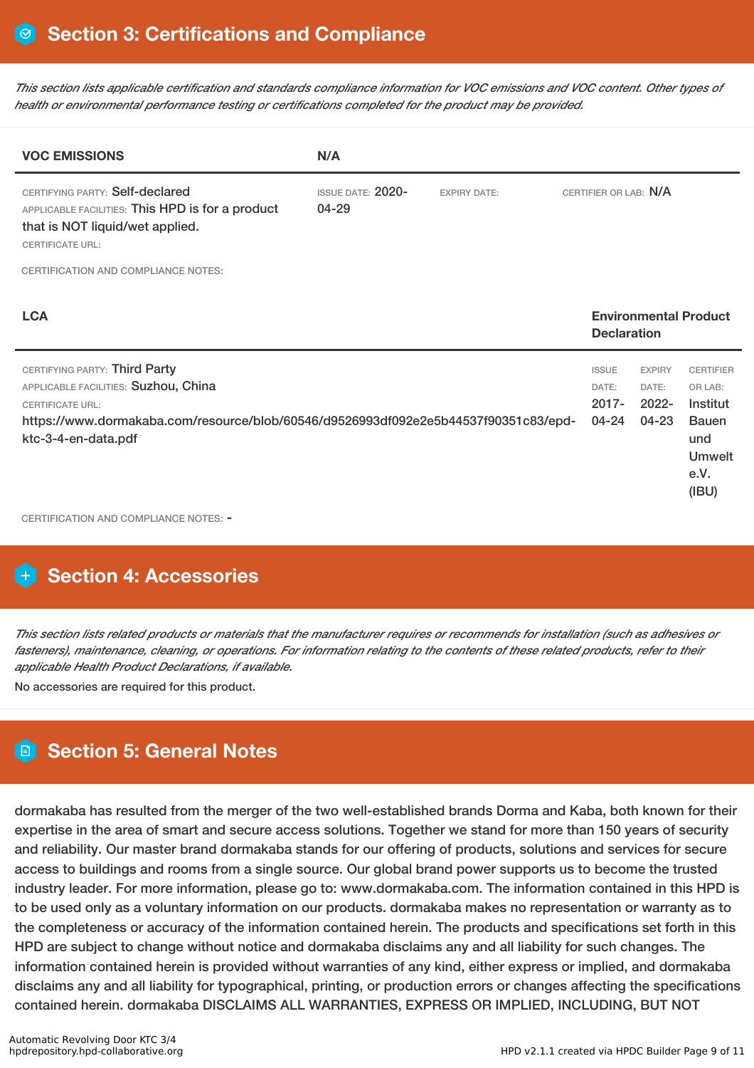This section lists applicable certification and standards compliance information for VOC emissions and VOC content. Other types of *health or environmental performance testing or certifications completed for the product may be provided.*

| <b>VOC EMISSIONS</b>                                                                                                                                                                                                                                    | N/A                               |                     |                                            |                                             |                                                                                                  |
|---------------------------------------------------------------------------------------------------------------------------------------------------------------------------------------------------------------------------------------------------------|-----------------------------------|---------------------|--------------------------------------------|---------------------------------------------|--------------------------------------------------------------------------------------------------|
| CERTIFYING PARTY: Self-declared<br>APPLICABLE FACILITIES: This HPD is for a product<br>that is NOT liquid/wet applied.<br><b>CERTIFICATE URL:</b>                                                                                                       | <b>ISSUE DATE: 2020-</b><br>04-29 | <b>EXPIRY DATE:</b> | CERTIFIER OR LAB: N/A                      |                                             |                                                                                                  |
| <b>CERTIFICATION AND COMPLIANCE NOTES:</b>                                                                                                                                                                                                              |                                   |                     |                                            |                                             |                                                                                                  |
| <b>LCA</b>                                                                                                                                                                                                                                              |                                   |                     | <b>Declaration</b>                         |                                             | <b>Environmental Product</b>                                                                     |
| CERTIFYING PARTY: Third Party<br>APPLICABLE FACILITIES: Suzhou, China<br><b>CERTIFICATE URL:</b><br>https://www.dormakaba.com/resource/blob/60546/d9526993df092e2e5b44537f90351c83/epd-<br>ktc-3-4-en-data.pdf<br>CERTIFICATION AND COMPLIANCE NOTES: - |                                   |                     | <b>ISSUE</b><br>DATE:<br>$2017 -$<br>04-24 | <b>EXPIRY</b><br>DATE:<br>$2022 -$<br>04-23 | <b>CERTIFIER</b><br>OR LAB:<br>Institut<br><b>Bauen</b><br>und<br><b>Umwelt</b><br>e.V.<br>(IBU) |

### **Section 4: Accessories**

This section lists related products or materials that the manufacturer requires or recommends for installation (such as adhesives or fasteners), maintenance, cleaning, or operations. For information relating to the contents of these related products, refer to their *applicable Health Product Declarations, if available.*

No accessories are required for this product.

### **Section 5: General Notes**

dormakaba has resulted from the merger of the two well-established brands Dorma and Kaba, both known for their expertise in the area of smart and secure access solutions. Together we stand for more than 150 years of security and reliability. Our master brand dormakaba stands for our offering of products, solutions and services for secure access to buildings and rooms from a single source. Our global brand power supports us to become the trusted industry leader. For more information, please go to: www.dormakaba.com. The information contained in this HPD is to be used only as a voluntary information on our products. dormakaba makes no representation or warranty as to the completeness or accuracy of the information contained herein. The products and specifications set forth in this HPD are subject to change without notice and dormakaba disclaims any and all liability for such changes. The information contained herein is provided without warranties of any kind, either express or implied, and dormakaba disclaims any and all liability for typographical, printing, or production errors or changes affecting the specifications contained herein. dormakaba DISCLAIMS ALL WARRANTIES, EXPRESS OR IMPLIED, INCLUDING, BUT NOT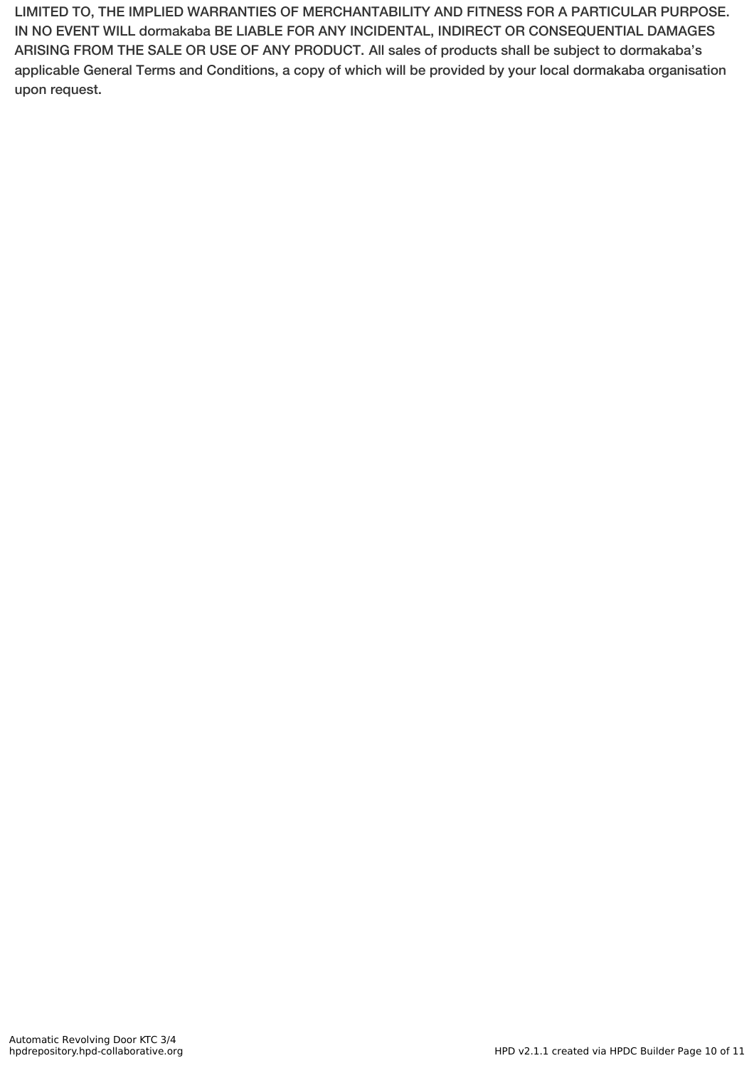LIMITED TO, THE IMPLIED WARRANTIES OF MERCHANTABILITY AND FITNESS FOR A PARTICULAR PURPOSE. IN NO EVENT WILL dormakaba BE LIABLE FOR ANY INCIDENTAL, INDIRECT OR CONSEQUENTIAL DAMAGES ARISING FROM THE SALE OR USE OF ANY PRODUCT. All sales of products shall be subject to dormakaba's applicable General Terms and Conditions, a copy of which will be provided by your local dormakaba organisation upon request.